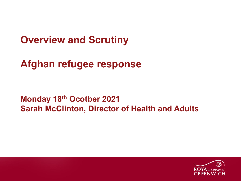**Overview and Scrutiny**

**Afghan refugee response**

**Monday 18th Ocotber 2021 Sarah McClinton, Director of Health and Adults**

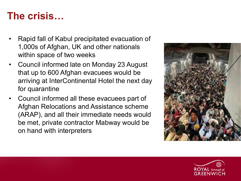#### **The crisis…**

- Rapid fall of Kabul precipitated evacuation of 1,000s of Afghan, UK and other nationals within space of two weeks
- Council informed late on Monday 23 August that up to 600 Afghan evacuees would be arriving at InterContinental Hotel the next day for quarantine
- Council informed all these evacuees part of Afghan Relocations and Assistance scheme (ARAP), and all their immediate needs would be met, private contractor Mabway would be on hand with interpreters



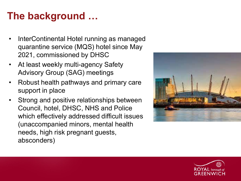# **The background …**

- InterContinental Hotel running as managed quarantine service (MQS) hotel since May 2021, commissioned by DHSC
- At least weekly multi-agency Safety Advisory Group (SAG) meetings
- Robust health pathways and primary care support in place
- Strong and positive relationships between Council, hotel, DHSC, NHS and Police which effectively addressed difficult issues (unaccompanied minors, mental health needs, high risk pregnant guests, absconders)



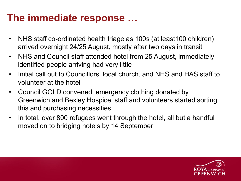## **The immediate response …**

- NHS staff co-ordinated health triage as 100s (at least100 children) arrived overnight 24/25 August, mostly after two days in transit
- NHS and Council staff attended hotel from 25 August, immediately identified people arriving had very little
- Initial call out to Councillors, local church, and NHS and HAS staff to volunteer at the hotel
- Council GOLD convened, emergency clothing donated by Greenwich and Bexley Hospice, staff and volunteers started sorting this and purchasing necessities
- In total, over 800 refugees went through the hotel, all but a handful moved on to bridging hotels by 14 September

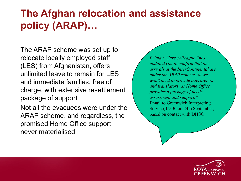## **The Afghan relocation and assistance policy (ARAP)…**

The ARAP scheme was set up to relocate locally employed staff (LES) from Afghanistan, offers unlimited leave to remain for LES and immediate families, free of charge, with extensive resettlement package of support

Not all the evacuees were under the ARAP scheme, and regardless, the promised Home Office support never materialised

*Primary Care colleague "has updated you to confirm that the arrivals at the InterContinental are under the ARAP scheme, so we won't need to provide interpreters and translators, as Home Office provides a package of needs assessment and support."* Email to Greenwich Interpreting Service, 09.30 on 24th September, based on contact with DHSC

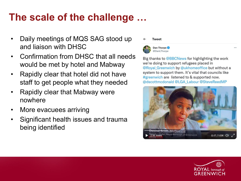## **The scale of the challenge …**

- Daily meetings of MQS SAG stood up and liaison with DHSC
- Confirmation from DHSC that all needs would be met by hotel and Mabway
- Rapidly clear that hotel did not have staff to get people what they needed
- Rapidly clear that Mabway were nowhere
- More evacuees arriving
- Significant health issues and trauma being identified

#### **Tweet**



Dan Thorpe @DanLThorpe

Big thanks to @BBCNews for highlighting the work we're doing to support refugees placed in @Royal Greenwich by @ukhomeoffice but without a system to support them. It's vital that councils like #greenwich are listened to & supported now. @dscottmcdonald @LGA Labour @SteveReedMP



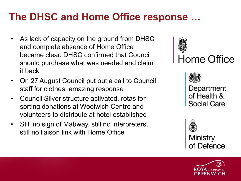## **The DHSC and Home Office response …**

- As lack of capacity on the ground from DHSC and complete absence of Home Office became clear, DHSC confirmed that Council should purchase what was needed and claim it back
- On 27 August Council put out a call to Council staff for clothes, amazing response
- Council Silver structure activated, rotas for sorting donations at Woolwich Centre and volunteers to distribute at hotel established
- Still no sign of Mabway, still no interpreters, still no liaison link with Home Office





Department of Health & Social Care



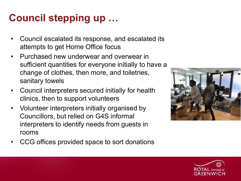# **Council stepping up …**

- Council escalated its response, and escalated its attempts to get Home Office focus
- Purchased new underwear and overwear in sufficient quantities for everyone initially to have a change of clothes, then more, and toiletries, sanitary towels
- Council interpreters secured initially for health clinics, then to support volunteers
- Volunteer interpreters initially organised by Councillors, but relied on G4S informal interpreters to identify needs from guests in rooms





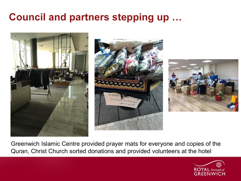# **Council and partners stepping up …**







Greenwich Islamic Centre provided prayer mats for everyone and copies of the Quran, Christ Church sorted donations and provided volunteers at the hotel

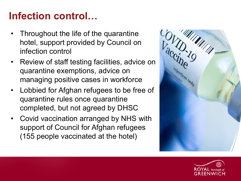## **Infection control…**

- Throughout the life of the quarantine hotel, support provided by Council on infection control
- Review of staff testing facilities, advice on quarantine exemptions, advice on managing positive cases in workforce
- Lobbied for Afghan refugees to be free of quarantine rules once quarantine completed, but not agreed by DHSC
- Covid vaccination arranged by NHS with support of Council for Afghan refugees (155 people vaccinated at the hotel)



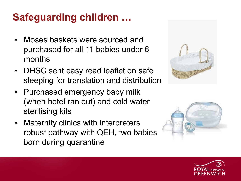# **Safeguarding children …**

- Moses baskets were sourced and purchased for all 11 babies under 6 months
- DHSC sent easy read leaflet on safe sleeping for translation and distribution
- Purchased emergency baby milk (when hotel ran out) and cold water sterilising kits
- Maternity clinics with interpreters robust pathway with QEH, two babies born during quarantine





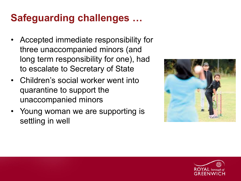# **Safeguarding challenges …**

- Accepted immediate responsibility for three unaccompanied minors (and long term responsibility for one), had to escalate to Secretary of State
- Children's social worker went into quarantine to support the unaccompanied minors
- Young woman we are supporting is settling in well



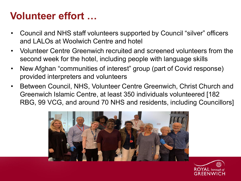## **Volunteer effort …**

- Council and NHS staff volunteers supported by Council "silver" officers and LALOs at Woolwich Centre and hotel
- Volunteer Centre Greenwich recruited and screened volunteers from the second week for the hotel, including people with language skills
- New Afghan "communities of interest" group (part of Covid response) provided interpreters and volunteers
- Between Council, NHS, Volunteer Centre Greenwich, Christ Church and Greenwich Islamic Centre, at least 350 individuals volunteered [182 RBG, 99 VCG, and around 70 NHS and residents, including Councillors]



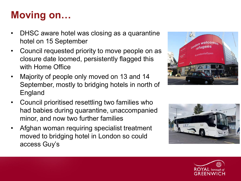# **Moving on…**

- DHSC aware hotel was closing as a quarantine hotel on 15 September
- Council requested priority to move people on as closure date loomed, persistently flagged this with Home Office
- Majority of people only moved on 13 and 14 September, mostly to bridging hotels in north of England
- Council prioritised resettling two families who had babies during quarantine, unaccompanied minor, and now two further families
- Afghan woman requiring specialist treatment moved to bridging hotel in London so could access Guy's





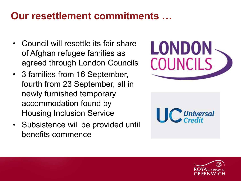## **Our resettlement commitments …**

- Council will resettle its fair share of Afghan refugee families as agreed through London Councils
- 3 families from 16 September, fourth from 23 September, all in newly furnished temporary accommodation found by Housing Inclusion Service
- Subsistence will be provided until benefits commence





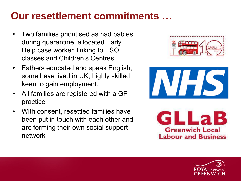## **Our resettlement commitments …**

- Two families prioritised as had babies during quarantine, allocated Early Help case worker, linking to ESOL classes and Children's Centres
- Fathers educated and speak English, some have lived in UK, highly skilled, keen to gain employment.
- All families are registered with a GP practice
- With consent, resettled families have been put in touch with each other and are forming their own social support network







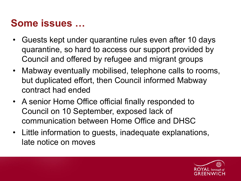### **Some issues …**

- Guests kept under quarantine rules even after 10 days quarantine, so hard to access our support provided by Council and offered by refugee and migrant groups
- Mabway eventually mobilised, telephone calls to rooms, but duplicated effort, then Council informed Mabway contract had ended
- A senior Home Office official finally responded to Council on 10 September, exposed lack of communication between Home Office and DHSC
- Little information to guests, inadequate explanations, late notice on moves

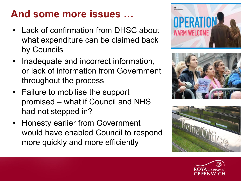# **And some more issues …**

- Lack of confirmation from DHSC about what expenditure can be claimed back by Councils
- Inadequate and incorrect information, or lack of information from Government throughout the process
- Failure to mobilise the support promised – what if Council and NHS had not stepped in?
- Honesty earlier from Government would have enabled Council to respond more quickly and more efficiently







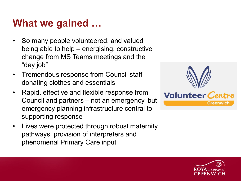## **What we gained …**

- So many people volunteered, and valued being able to help – energising, constructive change from MS Teams meetings and the "day job"
- Tremendous response from Council staff donating clothes and essentials
- Rapid, effective and flexible response from Council and partners – not an emergency, but emergency planning infrastructure central to supporting response
- Lives were protected through robust maternity pathways, provision of interpreters and phenomenal Primary Care input



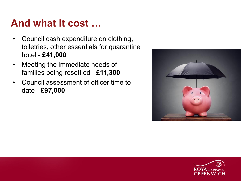#### **And what it cost …**

- Council cash expenditure on clothing, toiletries, other essentials for quarantine hotel - **£41,000**
- Meeting the immediate needs of families being resettled - **£11,300**
- Council assessment of officer time to date - **£97,000**